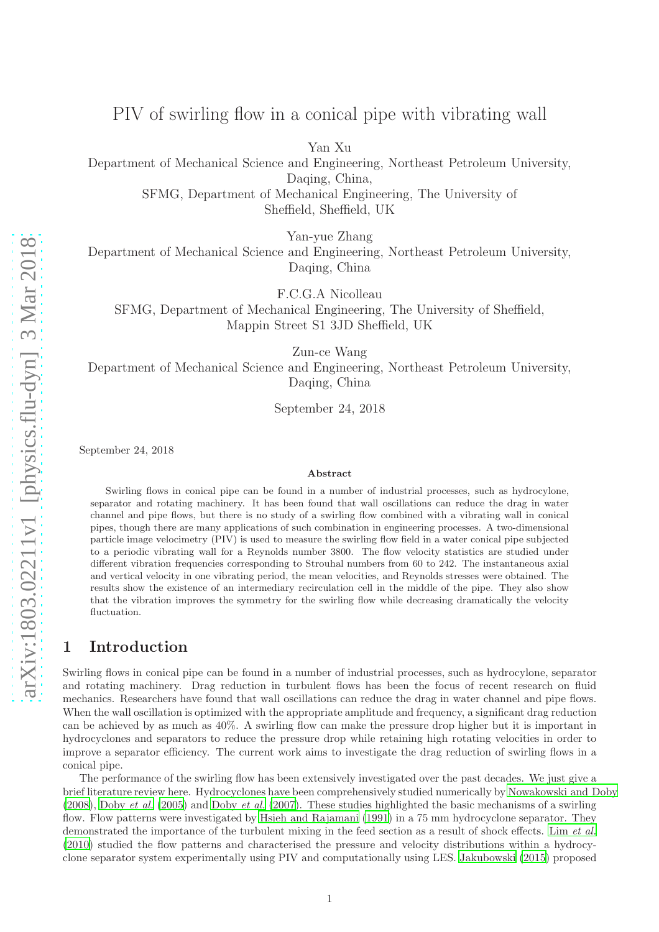# PIV of swirling flow in a conical pipe with vibrating wall

Yan Xu

Department of Mechanical Science and Engineering, Northeast Petroleum University, Daqing, China, SFMG, Department of Mechanical Engineering, The University of

Sheffield, Sheffield, UK

Yan-yue Zhang

Department of Mechanical Science and Engineering, Northeast Petroleum University, Daqing, China

F.C.G.A Nicolleau

SFMG, Department of Mechanical Engineering, The University of Sheffield, Mappin Street S1 3JD Sheffield, UK

Zun-ce Wang

Department of Mechanical Science and Engineering, Northeast Petroleum University, Daqing, China

September 24, 2018

September 24, 2018

#### Abstract

Swirling flows in conical pipe can be found in a number of industrial processes, such as hydrocylone, separator and rotating machinery. It has been found that wall oscillations can reduce the drag in water channel and pipe flows, but there is no study of a swirling flow combined with a vibrating wall in conical pipes, though there are many applications of such combination in engineering processes. A two-dimensional particle image velocimetry (PIV) is used to measure the swirling flow field in a water conical pipe subjected to a periodic vibrating wall for a Reynolds number 3800. The flow velocity statistics are studied under different vibration frequencies corresponding to Strouhal numbers from 60 to 242. The instantaneous axial and vertical velocity in one vibrating period, the mean velocities, and Reynolds stresses were obtained. The results show the existence of an intermediary recirculation cell in the middle of the pipe. They also show that the vibration improves the symmetry for the swirling flow while decreasing dramatically the velocity fluctuation.

### 1 Introduction

Swirling flows in conical pipe can be found in a number of industrial processes, such as hydrocylone, separator and rotating machinery. Drag reduction in turbulent flows has been the focus of recent research on fluid mechanics. Researchers have found that wall oscillations can reduce the drag in water channel and pipe flows. When the wall oscillation is optimized with the appropriate amplitude and frequency, a significant drag reduction can be achieved by as much as 40%. A swirling flow can make the pressure drop higher but it is important in hydrocyclones and separators to reduce the pressure drop while retaining high rotating velocities in order to improve a separator efficiency. The current work aims to investigate the drag reduction of swirling flows in a conical pipe.

The performance of the swirling flow has been extensively investigated over the past decades. We just give a brief literature review here. Hydrocyclones have been comprehensively studied numerically by [Nowakowski and Doby](#page-7-0) [\(2008\)](#page-7-0), [Doby](#page-6-0) *et al.* [\(2005\)](#page-6-0) and [Doby](#page-7-1) *et al.* [\(2007\)](#page-7-1). These studies highlighted the basic mechanisms of a swirling flow. Flow patterns were investigated by [Hsieh and Rajamani \(1991\)](#page-7-2) in a 75 mm hydrocyclone separator. They demonstrated the importance of the turbulent mixing in the feed section as a result of shock effects. Lim *[et al.](#page-7-3)* [\(2010\)](#page-7-3) studied the flow patterns and characterised the pressure and velocity distributions within a hydrocyclone separator system experimentally using PIV and computationally using LES. [Jakubowski \(2015\)](#page-7-4) proposed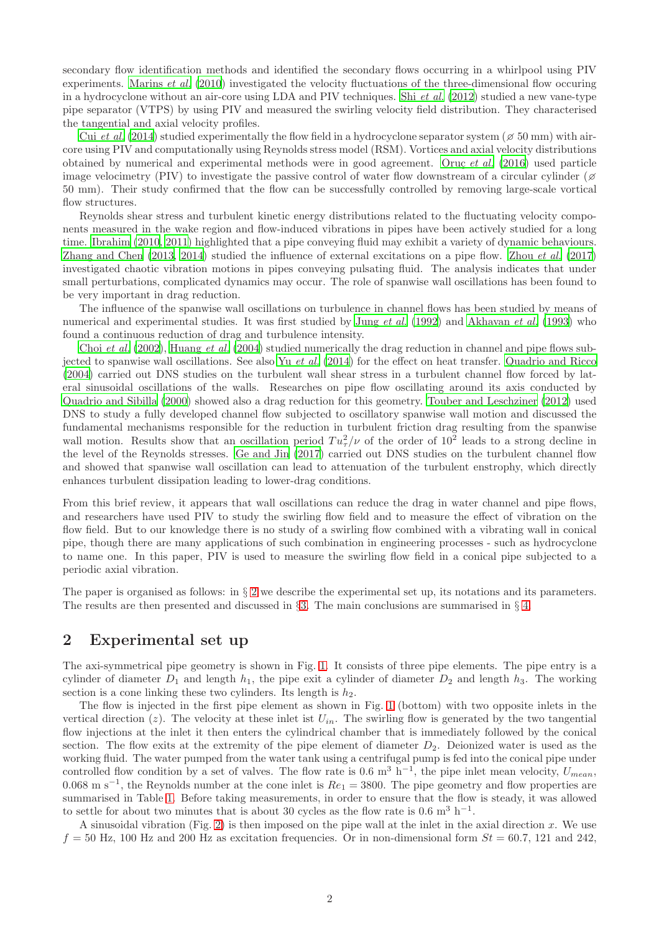secondary flow identification methods and identified the secondary flows occurring in a whirlpool using PIV experiments. [Marins](#page-7-5) *et al.* [\(2010\)](#page-7-5) investigated the velocity fluctuations of the three-dimensional flow occuring in a hydrocyclone without an air-core using LDA and PIV techniques. Shi *[et al.](#page-7-6)* [\(2012\)](#page-7-6) studied a new vane-type pipe separator (VTPS) by using PIV and measured the swirling velocity field distribution. They characterised the tangential and axial velocity profiles.

Cui *[et al.](#page-6-1)* [\(2014\)](#page-6-1) studied experimentally the flow field in a hydrocyclone separator system ( $\approx$  50 mm) with aircore using PIV and computationally using Reynolds stress model (RSM). Vortices and axial velocity distributions obtained by numerical and experimental methods were in good agreement. Oruç *[et al.](#page-7-7)* [\(2016](#page-7-7)) used particle image velocimetry (PIV) to investigate the passive control of water flow downstream of a circular cylinder ( $\beta$ ) 50 mm). Their study confirmed that the flow can be successfully controlled by removing large-scale vortical flow structures.

Reynolds shear stress and turbulent kinetic energy distributions related to the fluctuating velocity components measured in the wake region and flow-induced vibrations in pipes have been actively studied for a long time. [Ibrahim \(2010](#page-7-8), [2011\)](#page-7-9) highlighted that a pipe conveying fluid may exhibit a variety of dynamic behaviours. [Zhang and Chen \(2013,](#page-7-10) [2014\)](#page-7-11) studied the influence of external excitations on a pipe flow. [Zhou](#page-7-12) *et al.* [\(2017\)](#page-7-12) investigated chaotic vibration motions in pipes conveying pulsating fluid. The analysis indicates that under small perturbations, complicated dynamics may occur. The role of spanwise wall oscillations has been found to be very important in drag reduction.

The influence of the spanwise wall oscillations on turbulence in channel flows has been studied by means of numerical and experimental studies. It was first studied by Jung *[et al.](#page-7-13)* [\(1992](#page-7-13)) and [Akhavan](#page-6-2) *et al.* [\(1993\)](#page-6-2) who found a continuous reduction of drag and turbulence intensity.

Choi *[et al.](#page-6-3)* [\(2002\)](#page-6-3), [Huang](#page-7-14) *et al.* [\(2004\)](#page-7-14) studied numerically the drag reduction in channel and pipe flows subjected to spanwise wall oscillations. See also Yu *[et al.](#page-7-15)* [\(2014\)](#page-7-15) for the effect on heat transfer. [Quadrio and Ricco](#page-7-16) [\(2004\)](#page-7-16) carried out DNS studies on the turbulent wall shear stress in a turbulent channel flow forced by lateral sinusoidal oscillations of the walls. Researches on pipe flow oscillating around its axis conducted by [Quadrio and Sibilla \(2000\)](#page-7-17) showed also a drag reduction for this geometry. [Touber and Leschziner \(2012](#page-7-18)) used DNS to study a fully developed channel flow subjected to oscillatory spanwise wall motion and discussed the fundamental mechanisms responsible for the reduction in turbulent friction drag resulting from the spanwise wall motion. Results show that an oscillation period  $Tu_{\tau}^{2}/\nu$  of the order of  $10^{2}$  leads to a strong decline in the level of the Reynolds stresses. [Ge and Jin \(2017\)](#page-7-19) carried out DNS studies on the turbulent channel flow and showed that spanwise wall oscillation can lead to attenuation of the turbulent enstrophy, which directly enhances turbulent dissipation leading to lower-drag conditions.

From this brief review, it appears that wall oscillations can reduce the drag in water channel and pipe flows, and researchers have used PIV to study the swirling flow field and to measure the effect of vibration on the flow field. But to our knowledge there is no study of a swirling flow combined with a vibrating wall in conical pipe, though there are many applications of such combination in engineering processes - such as hydrocyclone to name one. In this paper, PIV is used to measure the swirling flow field in a conical pipe subjected to a periodic axial vibration.

The paper is organised as follows: in § [2](#page-1-0) we describe the experimental set up, its notations and its parameters. The results are then presented and discussed in  $\S$ [3.](#page-4-0) The main conclusions are summarised in  $\S$ [4.](#page-6-4)

### <span id="page-1-0"></span>2 Experimental set up

The axi-symmetrical pipe geometry is shown in Fig. [1.](#page-2-0) It consists of three pipe elements. The pipe entry is a cylinder of diameter  $D_1$  and length  $h_1$ , the pipe exit a cylinder of diameter  $D_2$  and length  $h_3$ . The working section is a cone linking these two cylinders. Its length is  $h_2$ .

The flow is injected in the first pipe element as shown in Fig. [1](#page-2-0) (bottom) with two opposite inlets in the vertical direction (z). The velocity at these inlet ist  $U_{in}$ . The swirling flow is generated by the two tangential flow injections at the inlet it then enters the cylindrical chamber that is immediately followed by the conical section. The flow exits at the extremity of the pipe element of diameter  $D_2$ . Deionized water is used as the working fluid. The water pumped from the water tank using a centrifugal pump is fed into the conical pipe under controlled flow condition by a set of valves. The flow rate is 0.6 m<sup>3</sup> h<sup>-1</sup>, the pipe inlet mean velocity,  $U_{mean}$ , 0.068 m s<sup>-1</sup>, the Reynolds number at the cone inlet is  $Re_1 = 3800$ . The pipe geometry and flow properties are summarised in Table [1.](#page-3-0) Before taking measurements, in order to ensure that the flow is steady, it was allowed to settle for about two minutes that is about 30 cycles as the flow rate is 0.6 m<sup>3</sup> h<sup>-1</sup>.

A sinusoidal vibration (Fig. [2\)](#page-2-1) is then imposed on the pipe wall at the inlet in the axial direction  $x$ . We use  $f = 50$  Hz, 100 Hz and 200 Hz as excitation frequencies. Or in non-dimensional form  $St = 60.7$ , 121 and 242,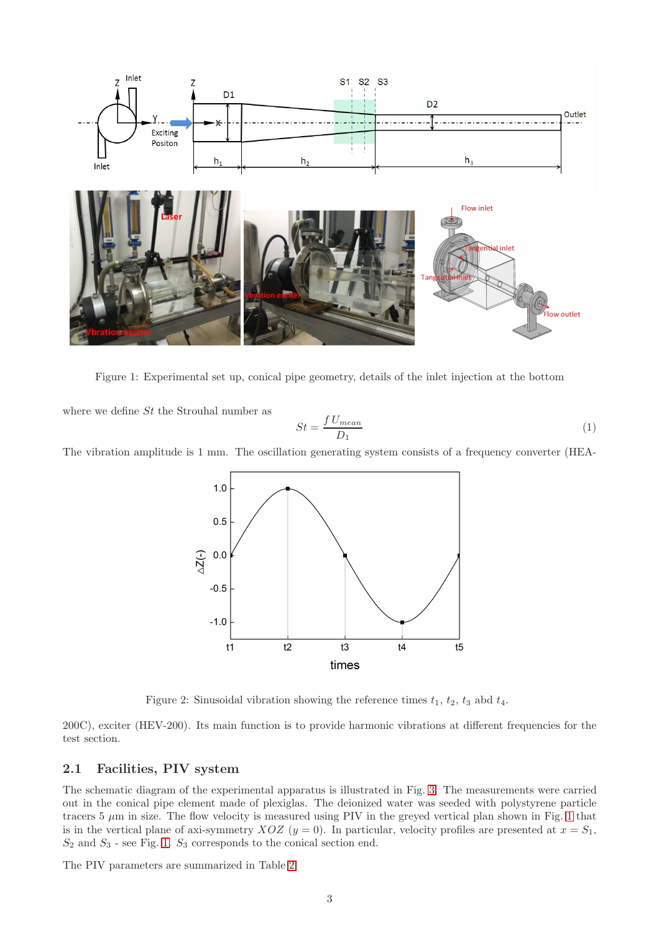

<span id="page-2-0"></span>Figure 1: Experimental set up, conical pipe geometry, details of the inlet injection at the bottom

where we define  $St$  the Strouhal number as

$$
St = \frac{f \, U_{mean}}{D_1} \tag{1}
$$

The vibration amplitude is 1 mm. The oscillation generating system consists of a frequency converter (HEA-



<span id="page-2-1"></span>Figure 2: Sinusoidal vibration showing the reference times  $t_1$ ,  $t_2$ ,  $t_3$  abd  $t_4$ .

200C), exciter (HEV-200). Its main function is to provide harmonic vibrations at different frequencies for the test section.

#### 2.1 Facilities, PIV system

The schematic diagram of the experimental apparatus is illustrated in Fig. [3.](#page-4-1) The measurements were carried out in the conical pipe element made of plexiglas. The deionized water was seeded with polystyrene particle tracers  $5 \mu m$  in size. The flow velocity is measured using PIV in the greyed vertical plan shown in Fig. [1](#page-2-0) that is in the vertical plane of axi-symmetry XOZ  $(y = 0)$ . In particular, velocity profiles are presented at  $x = S_1$ ,  $\mathcal{S}_2$  and  $\mathcal{S}_3$  - see Fig. [1.](#page-2-0)  $\mathcal{S}_3$  corresponds to the conical section end.

The PIV parameters are summarized in Table [2.](#page-3-1)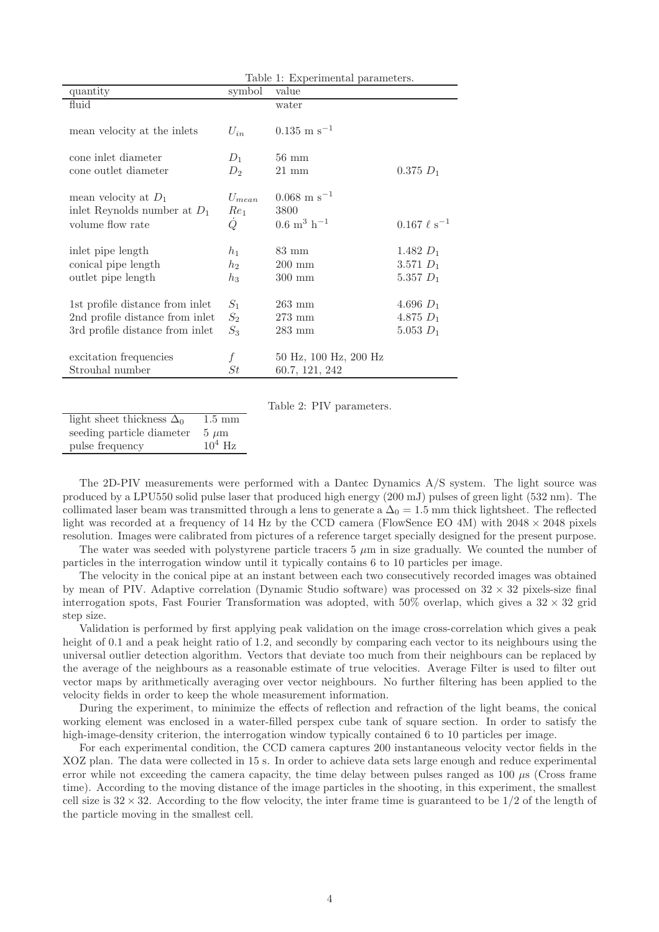<span id="page-3-0"></span>

|                                                          | Table 1: Experimental parameters. |                                  |                     |
|----------------------------------------------------------|-----------------------------------|----------------------------------|---------------------|
| quantity                                                 | symbol                            | value                            |                     |
| fluid                                                    |                                   | water                            |                     |
| mean velocity at the inlets                              | $U_{in}$                          | $0.135 \text{ m s}^{-1}$         |                     |
| cone inlet diameter                                      | $D_1$                             | $56 \text{ mm}$                  |                     |
| cone outlet diameter                                     | $D_2$                             | $21 \text{ mm}$                  | $0.375 D_1$         |
|                                                          |                                   |                                  |                     |
| mean velocity at $D_1$<br>inlet Reynolds number at $D_1$ | $U_{mean}$<br>$Re_1$              | $0.068 \text{ m s}^{-1}$<br>3800 |                     |
| volume flow rate                                         | Q                                 | $0.6~{\rm m^3~h^{-1}}$           | $0.167 \ell s^{-1}$ |
|                                                          |                                   |                                  |                     |
| inlet pipe length                                        | $h_1$                             | $83 \text{ mm}$                  | 1.482 $D_1$         |
| conical pipe length                                      | h2                                | $200 \text{ mm}$                 | $3.571 D_1$         |
| outlet pipe length                                       | $h_3$                             | $300 \text{ mm}$                 | 5.357 $D_1$         |
|                                                          |                                   |                                  |                     |
| 1st profile distance from inlet                          | $S_1$                             | $263 \text{ mm}$                 | 4.696 $D_1$         |
| 2nd profile distance from inlet                          | $S_2$                             | $273$ mm                         | 4.875 $D_1$         |
| 3rd profile distance from inlet                          | $S_3$                             | $283$ mm                         | 5.053 $D_1$         |
|                                                          |                                   |                                  |                     |
| excitation frequencies                                   |                                   | 50 Hz, 100 Hz, 200 Hz            |                     |
| Strouhal number                                          | St                                | 60.7, 121, 242                   |                     |

<span id="page-3-1"></span>Table 2: PIV parameters.

light sheet thickness  $\Delta_0$  1.5 mm seeding particle diameter  $5 \mu m$ pulse frequency  $10^4$  Hz

The 2D-PIV measurements were performed with a Dantec Dynamics A/S system. The light source was produced by a LPU550 solid pulse laser that produced high energy (200 mJ) pulses of green light (532 nm). The collimated laser beam was transmitted through a lens to generate a  $\Delta_0 = 1.5$  mm thick lightsheet. The reflected light was recorded at a frequency of 14 Hz by the CCD camera (FlowSence EO 4M) with  $2048 \times 2048$  pixels resolution. Images were calibrated from pictures of a reference target specially designed for the present purpose.

The water was seeded with polystyrene particle tracers  $5 \mu m$  in size gradually. We counted the number of particles in the interrogation window until it typically contains 6 to 10 particles per image.

The velocity in the conical pipe at an instant between each two consecutively recorded images was obtained by mean of PIV. Adaptive correlation (Dynamic Studio software) was processed on  $32 \times 32$  pixels-size final interrogation spots. Fast Fourier Transformation was adopted, with 50% overlap, which gives a  $32 \times 32$  grid step size.

Validation is performed by first applying peak validation on the image cross-correlation which gives a peak height of 0.1 and a peak height ratio of 1.2, and secondly by comparing each vector to its neighbours using the universal outlier detection algorithm. Vectors that deviate too much from their neighbours can be replaced by the average of the neighbours as a reasonable estimate of true velocities. Average Filter is used to filter out vector maps by arithmetically averaging over vector neighbours. No further filtering has been applied to the velocity fields in order to keep the whole measurement information.

During the experiment, to minimize the effects of reflection and refraction of the light beams, the conical working element was enclosed in a water-filled perspex cube tank of square section. In order to satisfy the high-image-density criterion, the interrogation window typically contained 6 to 10 particles per image.

For each experimental condition, the CCD camera captures 200 instantaneous velocity vector fields in the XOZ plan. The data were collected in 15 s. In order to achieve data sets large enough and reduce experimental error while not exceeding the camera capacity, the time delay between pulses ranged as  $100 \mu s$  (Cross frame time). According to the moving distance of the image particles in the shooting, in this experiment, the smallest cell size is  $32 \times 32$ . According to the flow velocity, the inter frame time is guaranteed to be  $1/2$  of the length of the particle moving in the smallest cell.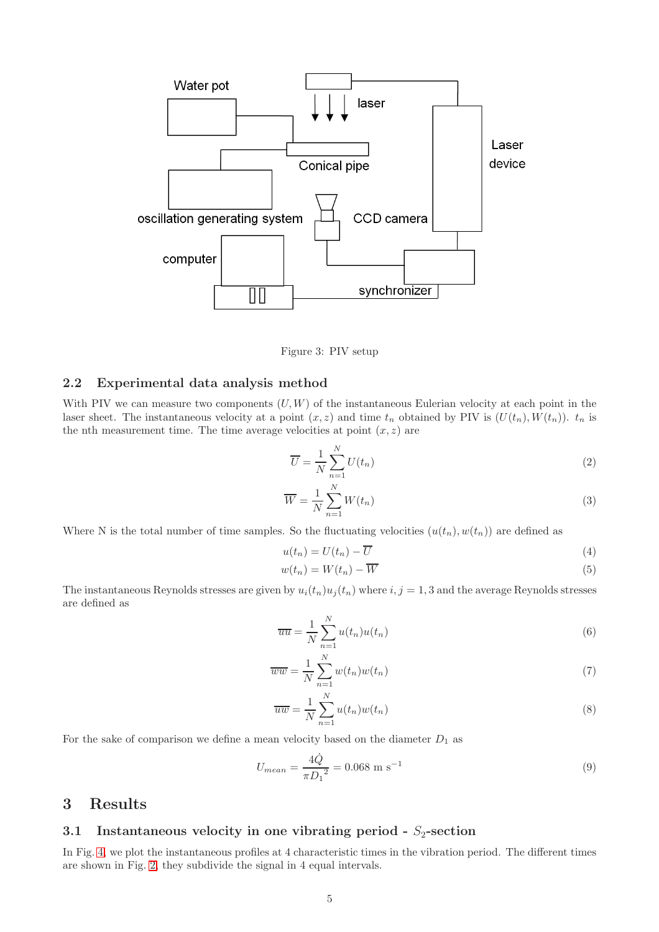

<span id="page-4-1"></span>Figure 3: PIV setup

#### <span id="page-4-2"></span>2.2 Experimental data analysis method

With PIV we can measure two components  $(U, W)$  of the instantaneous Eulerian velocity at each point in the laser sheet. The instantaneous velocity at a point  $(x, z)$  and time  $t_n$  obtained by PIV is  $(U(t_n), W(t_n))$ .  $t_n$  is the nth measurement time. The time average velocities at point  $(x, z)$  are

$$
\overline{U} = \frac{1}{N} \sum_{n=1}^{N} U(t_n)
$$
\n(2)

$$
\overline{W} = \frac{1}{N} \sum_{n=1}^{N} W(t_n)
$$
\n(3)

Where N is the total number of time samples. So the fluctuating velocities  $(u(t_n), w(t_n))$  are defined as

$$
u(t_n) = U(t_n) - \overline{U}
$$
\n<sup>(4)</sup>

$$
w(t_n) = W(t_n) - \overline{W}
$$
\n<sup>(5)</sup>

The instantaneous Reynolds stresses are given by  $u_i(t_n)u_j(t_n)$  where  $i, j = 1, 3$  and the average Reynolds stresses are defined as

$$
\overline{uu} = \frac{1}{N} \sum_{n=1}^{N} u(t_n)u(t_n)
$$
\n(6)

$$
\overline{ww} = \frac{1}{N} \sum_{n=1}^{N} w(t_n) w(t_n)
$$
\n<sup>(7)</sup>

$$
\overline{uw} = \frac{1}{N} \sum_{n=1}^{N} u(t_n) w(t_n)
$$
\n(8)

For the sake of comparison we define a mean velocity based on the diameter  $D_1$  as

$$
U_{mean} = \frac{4\dot{Q}}{\pi D_1^2} = 0.068 \text{ m s}^{-1}
$$
\n(9)

## <span id="page-4-0"></span>3 Results

### 3.1 Instantaneous velocity in one vibrating period -  $S_2$ -section

In Fig. [4,](#page-5-0) we plot the instantaneous profiles at 4 characteristic times in the vibration period. The different times are shown in Fig. [2,](#page-2-1) they subdivide the signal in 4 equal intervals.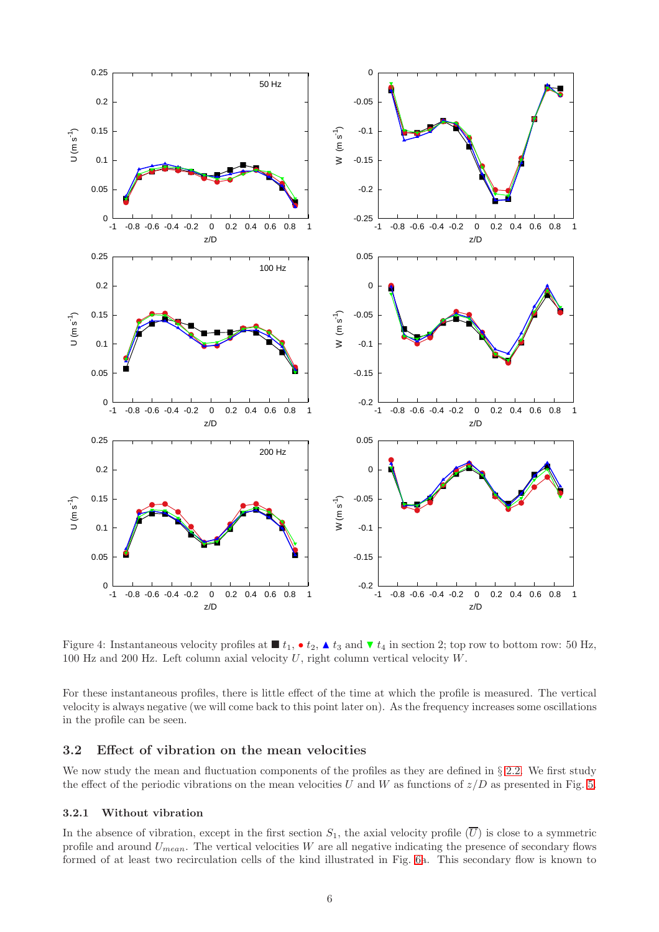

<span id="page-5-0"></span>Figure 4: Instantaneous velocity profiles at  $\blacksquare t_1$ ,  $\bullet t_2$ ,  $\blacktriangle t_3$  and  $\blacktriangledown t_4$  in section 2; top row to bottom row: 50 Hz, 100 Hz and 200 Hz. Left column axial velocity U, right column vertical velocity W.

For these instantaneous profiles, there is little effect of the time at which the profile is measured. The vertical velocity is always negative (we will come back to this point later on). As the frequency increases some oscillations in the profile can be seen.

#### 3.2 Effect of vibration on the mean velocities

We now study the mean and fluctuation components of the profiles as they are defined in § [2.2.](#page-4-2) We first study the effect of the periodic vibrations on the mean velocities U and W as functions of  $z/D$  as presented in Fig. [5.](#page-8-0)

#### 3.2.1 Without vibration

In the absence of vibration, except in the first section  $S_1$ , the axial velocity profile  $(\overline{U})$  is close to a symmetric profile and around  $U_{mean}$ . The vertical velocities W are all negative indicating the presence of secondary flows formed of at least two recirculation cells of the kind illustrated in Fig. [6a](#page-9-0). This secondary flow is known to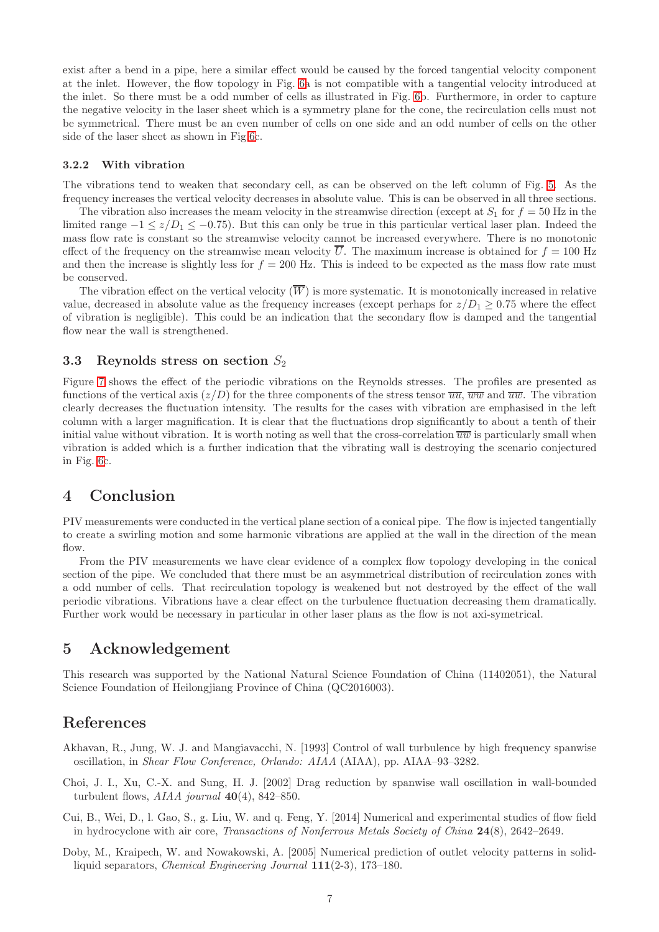exist after a bend in a pipe, here a similar effect would be caused by the forced tangential velocity component at the inlet. However, the flow topology in Fig. [6a](#page-9-0) is not compatible with a tangential velocity introduced at the inlet. So there must be a odd number of cells as illustrated in Fig. [6b](#page-9-0). Furthermore, in order to capture the negative velocity in the laser sheet which is a symmetry plane for the cone, the recirculation cells must not be symmetrical. There must be an even number of cells on one side and an odd number of cells on the other side of the laser sheet as shown in Fig[.6c](#page-9-0).

#### 3.2.2 With vibration

The vibrations tend to weaken that secondary cell, as can be observed on the left column of Fig. [5.](#page-8-0) As the frequency increases the vertical velocity decreases in absolute value. This is can be observed in all three sections.

The vibration also increases the meam velocity in the streamwise direction (except at  $S_1$  for  $f = 50$  Hz in the limited range  $-1 \lt z/D_1 \lt -0.75$ . But this can only be true in this particular vertical laser plan. Indeed the mass flow rate is constant so the streamwise velocity cannot be increased everywhere. There is no monotonic effect of the frequency on the streamwise mean velocity  $\overline{U}$ . The maximum increase is obtained for  $f = 100$  Hz and then the increase is slightly less for  $f = 200$  Hz. This is indeed to be expected as the mass flow rate must be conserved.

The vibration effect on the vertical velocity  $(\overline{W})$  is more systematic. It is monotonically increased in relative value, decreased in absolute value as the frequency increases (except perhaps for  $z/D_1 \geq 0.75$  where the effect of vibration is negligible). This could be an indication that the secondary flow is damped and the tangential flow near the wall is strengthened.

#### 3.3 Reynolds stress on section  $S_2$

Figure [7](#page-10-0) shows the effect of the periodic vibrations on the Reynolds stresses. The profiles are presented as functions of the vertical axis  $(z/D)$  for the three components of the stress tensor  $\overline{uw}$ ,  $\overline{ww}$  and  $\overline{uw}$ . The vibration clearly decreases the fluctuation intensity. The results for the cases with vibration are emphasised in the left column with a larger magnification. It is clear that the fluctuations drop significantly to about a tenth of their initial value without vibration. It is worth noting as well that the cross-correlation  $\overline{uw}$  is particularly small when vibration is added which is a further indication that the vibrating wall is destroying the scenario conjectured in Fig. [6c](#page-9-0).

### <span id="page-6-4"></span>4 Conclusion

PIV measurements were conducted in the vertical plane section of a conical pipe. The flow is injected tangentially to create a swirling motion and some harmonic vibrations are applied at the wall in the direction of the mean flow.

From the PIV measurements we have clear evidence of a complex flow topology developing in the conical section of the pipe. We concluded that there must be an asymmetrical distribution of recirculation zones with a odd number of cells. That recirculation topology is weakened but not destroyed by the effect of the wall periodic vibrations. Vibrations have a clear effect on the turbulence fluctuation decreasing them dramatically. Further work would be necessary in particular in other laser plans as the flow is not axi-symetrical.

### 5 Acknowledgement

This research was supported by the National Natural Science Foundation of China (11402051), the Natural Science Foundation of Heilongjiang Province of China (QC2016003).

### References

<span id="page-6-2"></span>Akhavan, R., Jung, W. J. and Mangiavacchi, N. [1993] Control of wall turbulence by high frequency spanwise oscillation, in *Shear Flow Conference, Orlando: AIAA* (AIAA), pp. AIAA–93–3282.

- <span id="page-6-3"></span>Choi, J. I., Xu, C.-X. and Sung, H. J. [2002] Drag reduction by spanwise wall oscillation in wall-bounded turbulent flows, *AIAA journal* 40(4), 842–850.
- <span id="page-6-1"></span>Cui, B., Wei, D., l. Gao, S., g. Liu, W. and q. Feng, Y. [2014] Numerical and experimental studies of flow field in hydrocyclone with air core, *Transactions of Nonferrous Metals Society of China* 24(8), 2642–2649.
- <span id="page-6-0"></span>Doby, M., Kraipech, W. and Nowakowski, A. [2005] Numerical prediction of outlet velocity patterns in solidliquid separators, *Chemical Engineering Journal* 111(2-3), 173–180.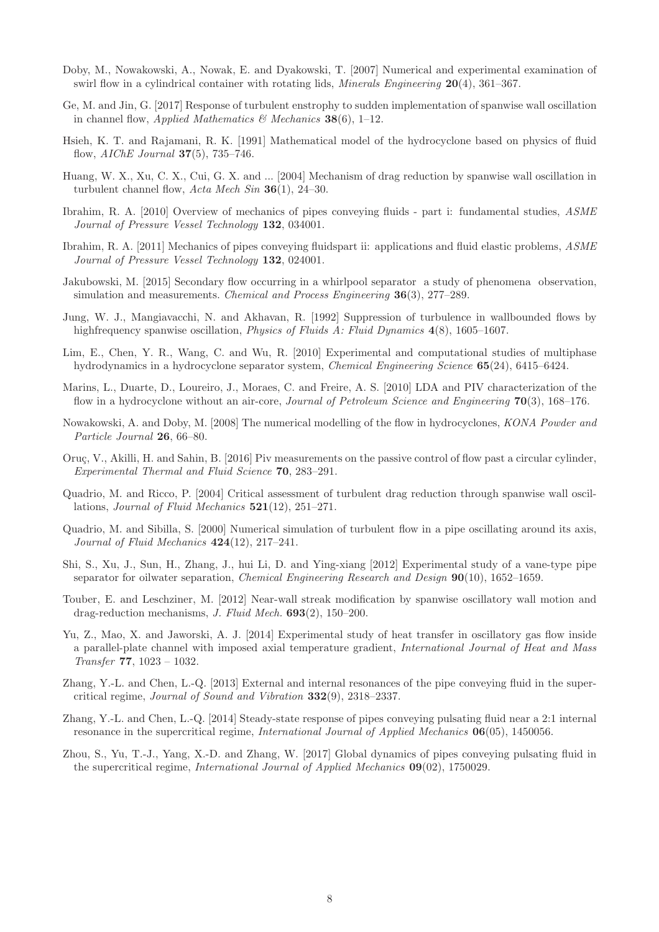- <span id="page-7-1"></span>Doby, M., Nowakowski, A., Nowak, E. and Dyakowski, T. [2007] Numerical and experimental examination of swirl flow in a cylindrical container with rotating lids, *Minerals Engineering* 20(4), 361–367.
- <span id="page-7-19"></span>Ge, M. and Jin, G. [2017] Response of turbulent enstrophy to sudden implementation of spanwise wall oscillation in channel flow, *Applied Mathematics & Mechanics* 38(6), 1–12.
- <span id="page-7-2"></span>Hsieh, K. T. and Rajamani, R. K. [1991] Mathematical model of the hydrocyclone based on physics of fluid flow, *AIChE Journal* 37(5), 735–746.
- <span id="page-7-14"></span>Huang, W. X., Xu, C. X., Cui, G. X. and ... [2004] Mechanism of drag reduction by spanwise wall oscillation in turbulent channel flow, *Acta Mech Sin* 36(1), 24–30.
- <span id="page-7-8"></span>Ibrahim, R. A. [2010] Overview of mechanics of pipes conveying fluids - part i: fundamental studies, *ASME Journal of Pressure Vessel Technology* 132, 034001.
- <span id="page-7-9"></span>Ibrahim, R. A. [2011] Mechanics of pipes conveying fluidspart ii: applications and fluid elastic problems, *ASME Journal of Pressure Vessel Technology* 132, 024001.
- <span id="page-7-4"></span>Jakubowski, M. [2015] Secondary flow occurring in a whirlpool separator a study of phenomena observation, simulation and measurements. *Chemical and Process Engineering* 36(3), 277–289.
- <span id="page-7-13"></span>Jung, W. J., Mangiavacchi, N. and Akhavan, R. [1992] Suppression of turbulence in wallbounded flows by highfrequency spanwise oscillation, *Physics of Fluids A: Fluid Dynamics* 4(8), 1605–1607.
- <span id="page-7-3"></span>Lim, E., Chen, Y. R., Wang, C. and Wu, R. [2010] Experimental and computational studies of multiphase hydrodynamics in a hydrocyclone separator system, *Chemical Engineering Science* 65(24), 6415–6424.
- <span id="page-7-5"></span>Marins, L., Duarte, D., Loureiro, J., Moraes, C. and Freire, A. S. [2010] LDA and PIV characterization of the flow in a hydrocyclone without an air-core, *Journal of Petroleum Science and Engineering* 70(3), 168–176.
- <span id="page-7-0"></span>Nowakowski, A. and Doby, M. [2008] The numerical modelling of the flow in hydrocyclones, *KONA Powder and Particle Journal* 26, 66–80.
- <span id="page-7-7"></span>Oruç, V., Akilli, H. and Sahin, B. [2016] Piv measurements on the passive control of flow past a circular cylinder, *Experimental Thermal and Fluid Science* 70, 283–291.
- <span id="page-7-16"></span>Quadrio, M. and Ricco, P. [2004] Critical assessment of turbulent drag reduction through spanwise wall oscillations, *Journal of Fluid Mechanics* 521(12), 251–271.
- <span id="page-7-17"></span>Quadrio, M. and Sibilla, S. [2000] Numerical simulation of turbulent flow in a pipe oscillating around its axis, *Journal of Fluid Mechanics* 424(12), 217–241.
- <span id="page-7-6"></span>Shi, S., Xu, J., Sun, H., Zhang, J., hui Li, D. and Ying-xiang [2012] Experimental study of a vane-type pipe separator for oilwater separation, *Chemical Engineering Research and Design* 90(10), 1652–1659.
- <span id="page-7-18"></span>Touber, E. and Leschziner, M. [2012] Near-wall streak modification by spanwise oscillatory wall motion and drag-reduction mechanisms, *J. Fluid Mech.* 693(2), 150–200.
- <span id="page-7-15"></span>Yu, Z., Mao, X. and Jaworski, A. J. [2014] Experimental study of heat transfer in oscillatory gas flow inside a parallel-plate channel with imposed axial temperature gradient, *International Journal of Heat and Mass Transfer* 77, 1023 – 1032.
- <span id="page-7-10"></span>Zhang, Y.-L. and Chen, L.-Q. [2013] External and internal resonances of the pipe conveying fluid in the supercritical regime, *Journal of Sound and Vibration* 332(9), 2318–2337.
- <span id="page-7-11"></span>Zhang, Y.-L. and Chen, L.-Q. [2014] Steady-state response of pipes conveying pulsating fluid near a 2:1 internal resonance in the supercritical regime, *International Journal of Applied Mechanics* 06(05), 1450056.
- <span id="page-7-12"></span>Zhou, S., Yu, T.-J., Yang, X.-D. and Zhang, W. [2017] Global dynamics of pipes conveying pulsating fluid in the supercritical regime, *International Journal of Applied Mechanics* 09(02), 1750029.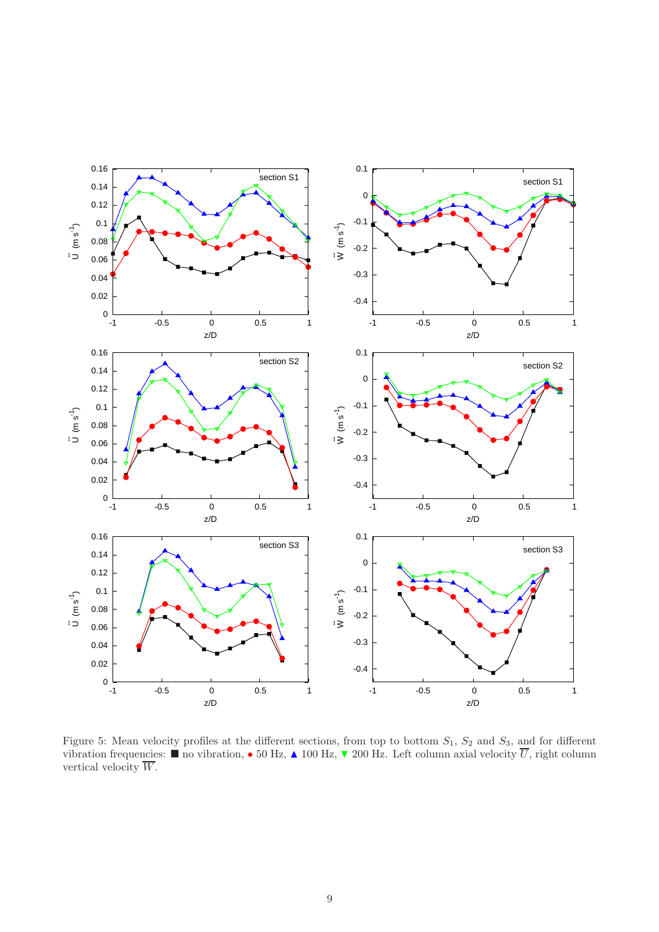

<span id="page-8-0"></span>Figure 5: Mean velocity profiles at the different sections, from top to bottom  $S_1$ ,  $S_2$  and  $S_3$ , and for different vibration frequencies:  $\blacksquare$  no vibration,  $\bullet$  50 Hz,  $\blacktriangle$  100 Hz,  $\blacktriangledown$  200 Hz. Left column axial velocity  $\overline{U}$ , right column vertical velocity  $\overline{W}$ .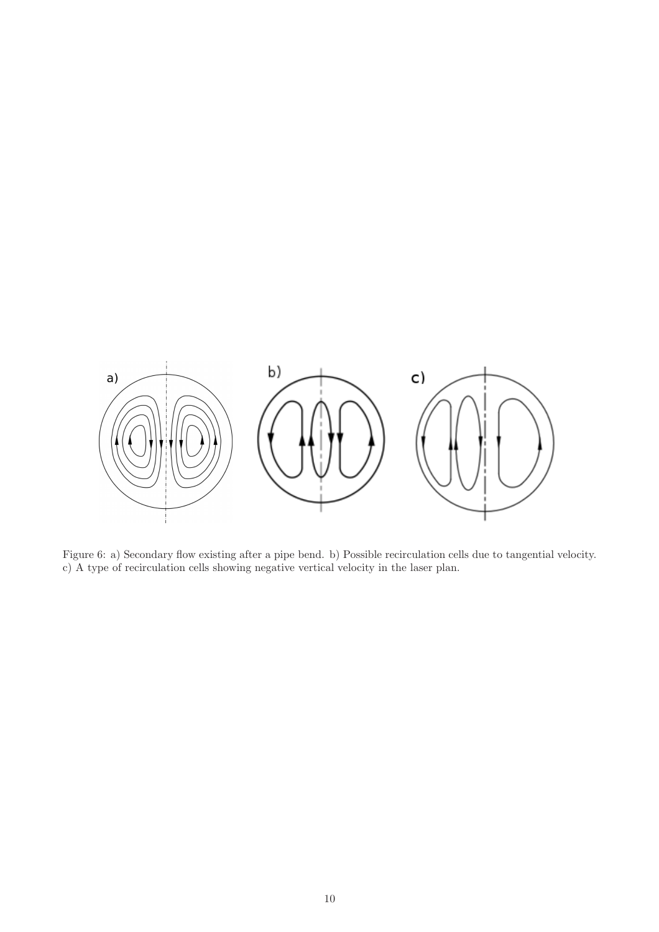

<span id="page-9-0"></span>Figure 6: a) Secondary flow existing after a pipe bend. b) Possible recirculation cells due to tangential velocity. c) A type of recirculation cells showing negative vertical velocity in the laser plan.